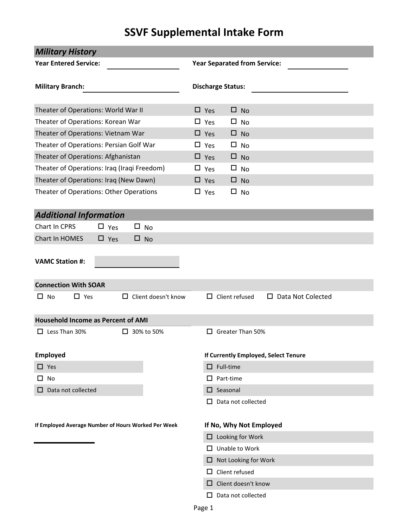# **SSVF Supplemental Intake Form**

| <b>Military History</b>                             |            |                                     |                             |                              |                         |                                      |  |  |  |  |
|-----------------------------------------------------|------------|-------------------------------------|-----------------------------|------------------------------|-------------------------|--------------------------------------|--|--|--|--|
| <b>Year Entered Service:</b>                        |            | <b>Year Separated from Service:</b> |                             |                              |                         |                                      |  |  |  |  |
| <b>Military Branch:</b>                             |            | <b>Discharge Status:</b>            |                             |                              |                         |                                      |  |  |  |  |
| Theater of Operations: World War II                 |            |                                     | $\Box$ Yes                  |                              | $\square$ No            |                                      |  |  |  |  |
| Theater of Operations: Korean War                   |            |                                     | $\square$ Yes               |                              | $\square$ No            |                                      |  |  |  |  |
| Theater of Operations: Vietnam War                  |            |                                     | $\Box$ Yes                  |                              | $\Box$ No               |                                      |  |  |  |  |
| Theater of Operations: Persian Golf War             |            |                                     | $\square$ Yes               |                              | $\square$ No            |                                      |  |  |  |  |
| Theater of Operations: Afghanistan                  |            |                                     | $\Box$ Yes                  |                              | $\square$ No            |                                      |  |  |  |  |
| Theater of Operations: Iraq (Iraqi Freedom)         |            |                                     | $\square$ Yes               |                              | $\Box$ No               |                                      |  |  |  |  |
| Theater of Operations: Iraq (New Dawn)              |            |                                     | $\Box$ Yes                  |                              | $\Box$ No               |                                      |  |  |  |  |
| Theater of Operations: Other Operations             |            |                                     | $\Box$ Yes                  |                              | $\square$ No            |                                      |  |  |  |  |
| <b>Additional Information</b>                       |            |                                     |                             |                              |                         |                                      |  |  |  |  |
| Chart In CPRS                                       | $\Box$ Yes | $\square$ No                        |                             |                              |                         |                                      |  |  |  |  |
| Chart In HOMES                                      | $\Box$ Yes | $\square$ No                        |                             |                              |                         |                                      |  |  |  |  |
| <b>VAMC Station #:</b>                              |            |                                     |                             |                              |                         |                                      |  |  |  |  |
| <b>Connection With SOAR</b>                         |            |                                     |                             |                              |                         |                                      |  |  |  |  |
| $\Box$ Yes<br>$\Box$ No                             |            | $\Box$ Client doesn't know          |                             | $\Box$ Client refused        |                         | Data Not Colected<br>$\Box$          |  |  |  |  |
| <b>Household Income as Percent of AMI</b>           |            |                                     |                             |                              |                         |                                      |  |  |  |  |
| $\Box$ Less Than 30%                                |            | $\Box$ 30% to 50%                   |                             |                              | $\Box$ Greater Than 50% |                                      |  |  |  |  |
| <b>Employed</b>                                     |            |                                     |                             |                              |                         | If Currently Employed, Select Tenure |  |  |  |  |
| $\Box$ Yes                                          |            |                                     |                             | $\Box$ Full-time             |                         |                                      |  |  |  |  |
| $\Box$ No                                           |            |                                     |                             | $\Box$ Part-time             |                         |                                      |  |  |  |  |
| Data not collected<br>ப                             |            |                                     |                             | $\square$ Seasonal           |                         |                                      |  |  |  |  |
|                                                     |            |                                     | $\Box$                      |                              | Data not collected      |                                      |  |  |  |  |
| If Employed Average Number of Hours Worked Per Week |            |                                     |                             |                              | If No, Why Not Employed |                                      |  |  |  |  |
|                                                     |            |                                     |                             |                              | $\Box$ Looking for Work |                                      |  |  |  |  |
|                                                     |            |                                     |                             |                              | $\Box$ Unable to Work   |                                      |  |  |  |  |
|                                                     |            |                                     | $\Box$ Not Looking for Work |                              |                         |                                      |  |  |  |  |
|                                                     |            |                                     |                             | $\Box$ Client refused        |                         |                                      |  |  |  |  |
|                                                     |            |                                     |                             | $\Box$ Client doesn't know   |                         |                                      |  |  |  |  |
|                                                     |            |                                     |                             | Data not collected<br>$\Box$ |                         |                                      |  |  |  |  |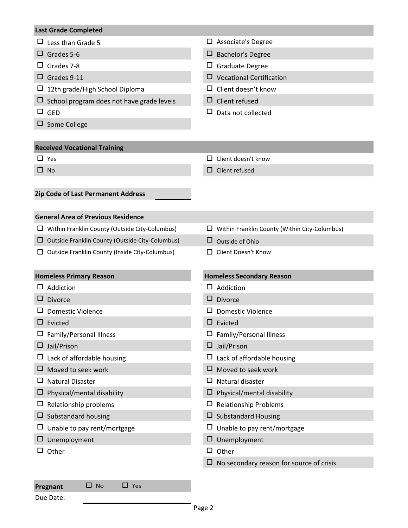#### **Last Grade Completed**

|  |  |  | $\Box$ Less than Grade 5 |  |
|--|--|--|--------------------------|--|
|--|--|--|--------------------------|--|

- 
- 
- 
- $\Box$  12th grade/High School Diploma  $\Box$  Client doesn't know
- $\square$  School program does not have grade levels  $\square$  Client refused
- 
- $\square$  Some College
- $\square$  Associate's Degree
- $\Box$  Grades 5-6  $\Box$  Bachelor's Degree
- Grades 7-8 Graduate Degree
- Grades 9-11 Vocational Certification
	-
	-
- $\square$  GED  $\square$  Data not collected

#### **Received Vocational Training**

- 
- 
- $\square$  Yes  $\square$  Yes
- $\square$  No  $\square$  Client refused

#### **Zip Code of Last Permanent Address**

### **General Area of Previous Residence**

 $\Box$  Within Franklin County (Outside City-Columbus)  $\Box$  Within Franklin County (Within City-Columbus)

- $\Box$  Outside Franklin County (Outside City-Columbus)  $\Box$  Outside of Ohio
- $\square$  Outside Franklin County (Inside City-Columbus)  $\square$  Client Doesn't Know
- 
- -

| <b>Homeless Primary Reason</b>    | <b>Homeless Secondary Reason</b>                |
|-----------------------------------|-------------------------------------------------|
| Addiction                         | $\Box$ Addiction                                |
| <b>Divorce</b>                    | $\Box$ Divorce                                  |
| Domestic Violence                 | <b>Domestic Violence</b>                        |
| Evicted<br>□                      | $\Box$ Evicted                                  |
| Family/Personal Illness           | Family/Personal Illness                         |
| Jail/Prison                       | Jail/Prison<br>$\Box$                           |
| Lack of affordable housing        | Lack of affordable housing                      |
| Moved to seek work                | $\Box$ Moved to seek work                       |
| <b>Natural Disaster</b>           | Natural disaster<br>ப                           |
| $\Box$ Physical/mental disability | $\Box$ Physical/mental disability               |
| Relationship problems             | <b>Relationship Problems</b>                    |
| $\Box$ Substandard housing        | $\Box$ Substandard Housing                      |
| Unable to pay rent/mortgage       | Unable to pay rent/mortgage                     |
| Unemployment                      | $\Box$ Unemployment                             |
| Other                             | ш.<br>Other                                     |
|                                   | $\Box$ No secondary reason for source of crisis |
|                                   |                                                 |

## **Pregnant** □ No □ Yes

Due Date: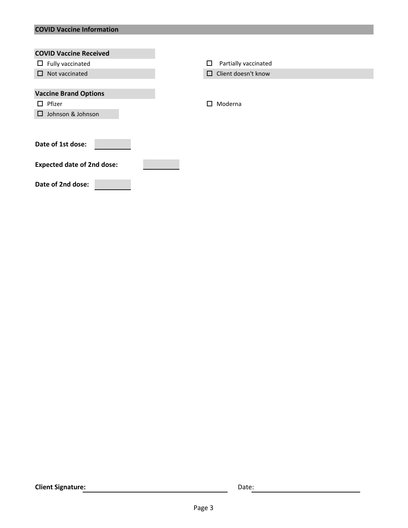## **COVID Vaccine Information**

| <b>COVID Vaccine Received</b>     |                           |
|-----------------------------------|---------------------------|
| $\Box$ Fully vaccinated           | Partially vaccinated<br>□ |
| Not vaccinated<br>$\Box$          | Client doesn't know<br>0  |
|                                   |                           |
| <b>Vaccine Brand Options</b>      |                           |
| Pfizer<br>$\Box$                  | Moderna<br>п              |
| Johnson & Johnson<br>$\Box$       |                           |
|                                   |                           |
|                                   |                           |
| Date of 1st dose:                 |                           |
|                                   |                           |
| <b>Expected date of 2nd dose:</b> |                           |
|                                   |                           |
| Date of 2nd dose:                 |                           |
|                                   |                           |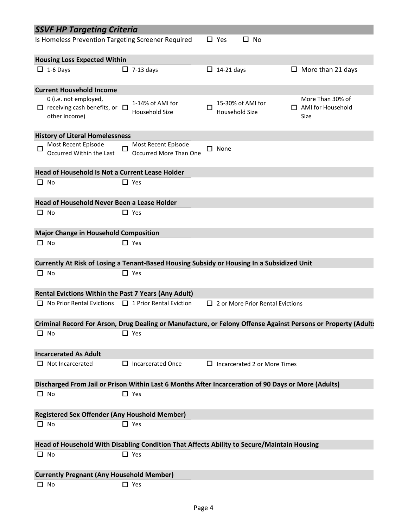|                                                    | <b>SSVF HP Targeting Criteria</b>                                                                   |        |                                               |   |                   |                                         |                                                                                                               |
|----------------------------------------------------|-----------------------------------------------------------------------------------------------------|--------|-----------------------------------------------|---|-------------------|-----------------------------------------|---------------------------------------------------------------------------------------------------------------|
| Is Homeless Prevention Targeting Screener Required |                                                                                                     |        |                                               |   | $\Box$ Yes        | □ No                                    |                                                                                                               |
|                                                    | <b>Housing Loss Expected Within</b>                                                                 |        |                                               |   |                   |                                         |                                                                                                               |
|                                                    | $\Box$ 1-6 Days                                                                                     |        | $\Box$ 7-13 days                              |   | $\Box$ 14-21 days |                                         | $\Box$ More than 21 days                                                                                      |
|                                                    | <b>Current Household Income</b>                                                                     |        |                                               |   |                   |                                         |                                                                                                               |
|                                                    | 0 (i.e. not employed,<br>$\Box$ receiving cash benefits, or $\Box$<br>other income)                 |        | 1-14% of AMI for<br>Household Size            | П | Household Size    | 15-30% of AMI for                       | More Than 30% of<br>$\Box$ AMI for Household<br>Size                                                          |
|                                                    | <b>History of Literal Homelessness</b>                                                              |        |                                               |   |                   |                                         |                                                                                                               |
| $\Box$                                             | Most Recent Episode<br>Occurred Within the Last                                                     | $\Box$ | Most Recent Episode<br>Occurred More Than One |   | $\square$ None    |                                         |                                                                                                               |
|                                                    | Head of Household Is Not a Current Lease Holder                                                     |        |                                               |   |                   |                                         |                                                                                                               |
|                                                    | $\Box$ No                                                                                           |        | $\Box$ Yes                                    |   |                   |                                         |                                                                                                               |
|                                                    | Head of Household Never Been a Lease Holder                                                         |        |                                               |   |                   |                                         |                                                                                                               |
|                                                    | $\Box$ No                                                                                           |        | $\Box$ Yes                                    |   |                   |                                         |                                                                                                               |
|                                                    | <b>Major Change in Household Composition</b>                                                        |        |                                               |   |                   |                                         |                                                                                                               |
|                                                    | $\Box$ No                                                                                           |        | $\Box$ Yes                                    |   |                   |                                         |                                                                                                               |
|                                                    | Currently At Risk of Losing a Tenant-Based Housing Subsidy or Housing In a Subsidized Unit          |        |                                               |   |                   |                                         |                                                                                                               |
|                                                    | $\Box$ No                                                                                           |        | $\Box$ Yes                                    |   |                   |                                         |                                                                                                               |
|                                                    | <b>Rental Evictions Within the Past 7 Years (Any Adult)</b>                                         |        |                                               |   |                   |                                         |                                                                                                               |
|                                                    | $\Box$ No Prior Rental Evictions                                                                    |        | $\Box$ 1 Prior Rental Eviction                |   |                   | $\Box$ 2 or More Prior Rental Evictions |                                                                                                               |
|                                                    |                                                                                                     |        |                                               |   |                   |                                         | Criminal Record For Arson, Drug Dealing or Manufacture, or Felony Offense Against Persons or Property (Adults |
|                                                    | $\Box$ No                                                                                           |        | $\Box$ Yes                                    |   |                   |                                         |                                                                                                               |
|                                                    | <b>Incarcerated As Adult</b>                                                                        |        |                                               |   |                   |                                         |                                                                                                               |
|                                                    | $\Box$ Not Incarcerated                                                                             |        | $\Box$ Incarcerated Once                      |   |                   | $\Box$ Incarcerated 2 or More Times     |                                                                                                               |
|                                                    | Discharged From Jail or Prison Within Last 6 Months After Incarceration of 90 Days or More (Adults) |        |                                               |   |                   |                                         |                                                                                                               |
|                                                    | $\Box$ No                                                                                           |        | $\Box$ Yes                                    |   |                   |                                         |                                                                                                               |
|                                                    | <b>Registered Sex Offender (Any Houshold Member)</b>                                                |        |                                               |   |                   |                                         |                                                                                                               |
|                                                    | $\Box$ No                                                                                           |        | $\Box$ Yes                                    |   |                   |                                         |                                                                                                               |
|                                                    | Head of Household With Disabling Condition That Affects Ability to Secure/Maintain Housing          |        |                                               |   |                   |                                         |                                                                                                               |
|                                                    | $\square$ No                                                                                        |        | $\Box$ Yes                                    |   |                   |                                         |                                                                                                               |
|                                                    | <b>Currently Pregnant (Any Household Member)</b>                                                    |        |                                               |   |                   |                                         |                                                                                                               |
|                                                    | $\Box$ No                                                                                           |        | $\Box$ Yes                                    |   |                   |                                         |                                                                                                               |